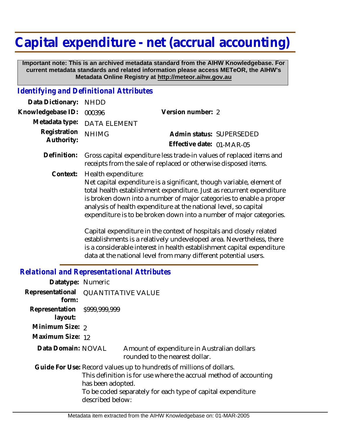## **Capital expenditure - net (accrual accounting)**

 **Important note: This is an archived metadata standard from the AIHW Knowledgebase. For current metadata standards and related information please access METeOR, the AIHW's Metadata Online Registry at http://meteor.aihw.gov.au**

## *Identifying and Definitional Attributes*

| Data Dictionary: NHDD            |                             |                           |  |
|----------------------------------|-----------------------------|---------------------------|--|
| Knowledgebase ID: 000396         |                             | Version number: 2         |  |
|                                  | Metadata type: DATA ELEMENT |                           |  |
| Registration NHIMG<br>Authority: |                             | Admin status: SUPERSEDED  |  |
|                                  |                             | Effective date: 01-MAR-05 |  |
|                                  |                             |                           |  |

Gross capital expenditure less trade-in values of replaced items and receipts from the sale of replaced or otherwise disposed items. **Definition:**

Health expenditure: **Context:**

Net capital expenditure is a significant, though variable, element of total health establishment expenditure. Just as recurrent expenditure is broken down into a number of major categories to enable a proper analysis of health expenditure at the national level, so capital expenditure is to be broken down into a number of major categories.

Capital expenditure in the context of hospitals and closely related establishments is a relatively undeveloped area. Nevertheless, there is a considerable interest in health establishment capital expenditure data at the national level from many different potential users.

## *Relational and Representational Attributes*

| Datatype: Numeric                       |                                                                                                                                                                                                                                                  |                                                                               |  |
|-----------------------------------------|--------------------------------------------------------------------------------------------------------------------------------------------------------------------------------------------------------------------------------------------------|-------------------------------------------------------------------------------|--|
| form:                                   | Representational QUANTITATIVE VALUE                                                                                                                                                                                                              |                                                                               |  |
| Representation \$999,999,999<br>layout: |                                                                                                                                                                                                                                                  |                                                                               |  |
| Minimum Size: 2                         |                                                                                                                                                                                                                                                  |                                                                               |  |
| Maximum Size: 12                        |                                                                                                                                                                                                                                                  |                                                                               |  |
| Data Domain: NOVAL                      |                                                                                                                                                                                                                                                  | Amount of expenditure in Australian dollars<br>rounded to the nearest dollar. |  |
|                                         | Guide For Use: Record values up to hundreds of millions of dollars.<br>This definition is for use where the accrual method of accounting<br>has been adopted.<br>To be coded separately for each type of capital expenditure<br>described below: |                                                                               |  |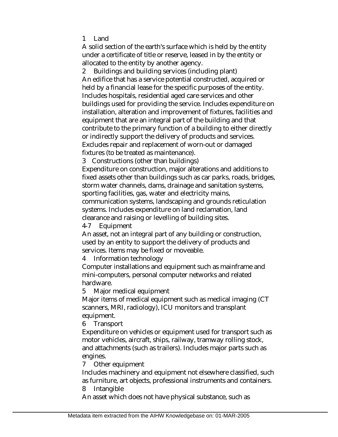1 Land

A solid section of the earth's surface which is held by the entity under a certificate of title or reserve, leased in by the entity or allocated to the entity by another agency.

2 Buildings and building services (including plant) An edifice that has a service potential constructed, acquired or held by a financial lease for the specific purposes of the entity. Includes hospitals, residential aged care services and other buildings used for providing the service. Includes expenditure on installation, alteration and improvement of fixtures, facilities and equipment that are an integral part of the building and that contribute to the primary function of a building to either directly or indirectly support the delivery of products and services. Excludes repair and replacement of worn-out or damaged fixtures (to be treated as maintenance).

3 Constructions (other than buildings)

Expenditure on construction, major alterations and additions to fixed assets other than buildings such as car parks, roads, bridges, storm water channels, dams, drainage and sanitation systems, sporting facilities, gas, water and electricity mains, communication systems, landscaping and grounds reticulation systems. Includes expenditure on land reclamation, land clearance and raising or levelling of building sites.

4-7 Equipment

An asset, not an integral part of any building or construction, used by an entity to support the delivery of products and services. Items may be fixed or moveable.

4 Information technology

Computer installations and equipment such as mainframe and mini-computers, personal computer networks and related hardware.

5 Major medical equipment

Major items of medical equipment such as medical imaging (CT scanners, MRI, radiology), ICU monitors and transplant equipment.

6 Transport

Expenditure on vehicles or equipment used for transport such as motor vehicles, aircraft, ships, railway, tramway rolling stock, and attachments (such as trailers). Includes major parts such as engines.

7 Other equipment

Includes machinery and equipment not elsewhere classified, such as furniture, art objects, professional instruments and containers. 8 Intangible

An asset which does not have physical substance, such as